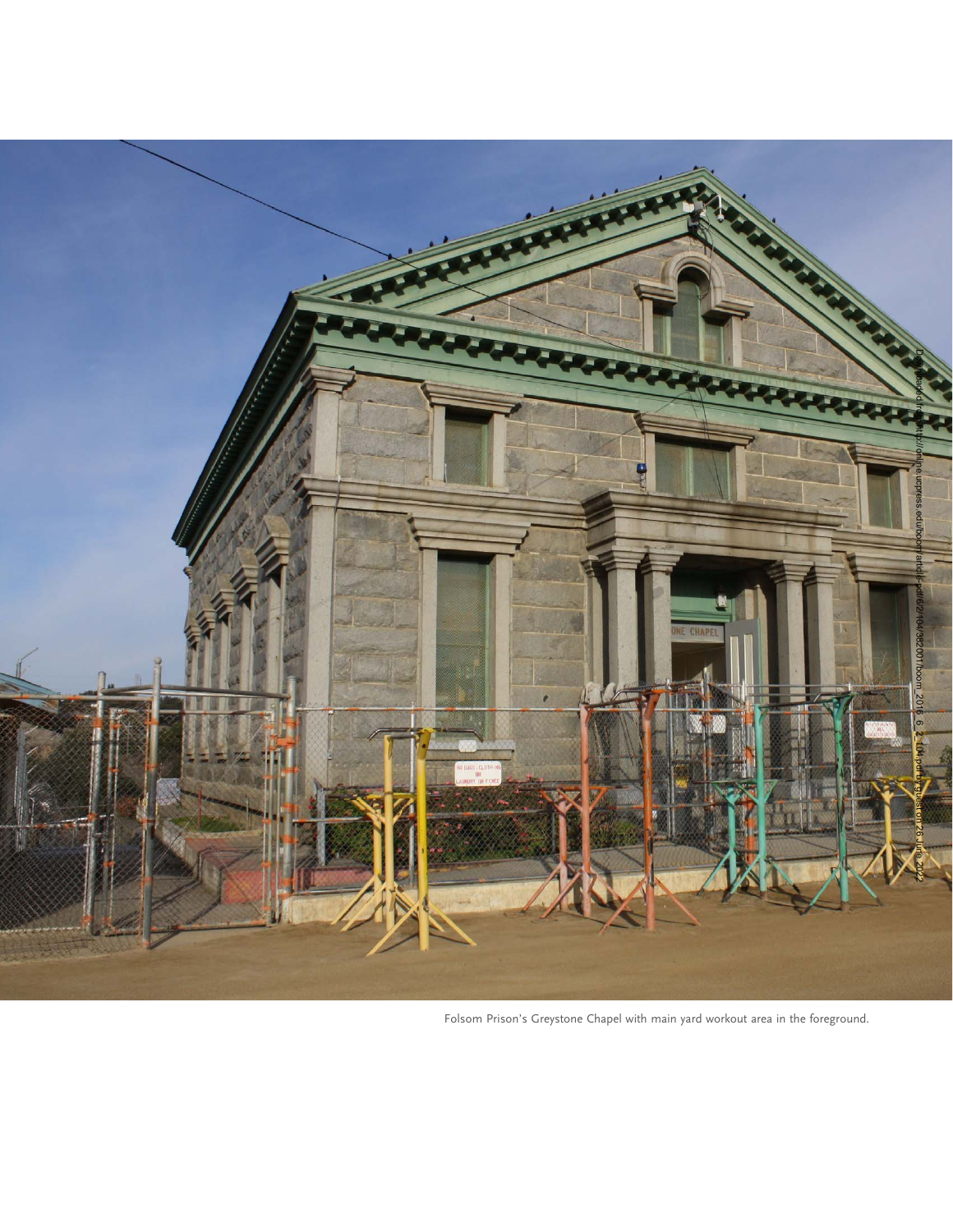

Folsom Prison's Greystone Chapel with main yard workout area in the foreground.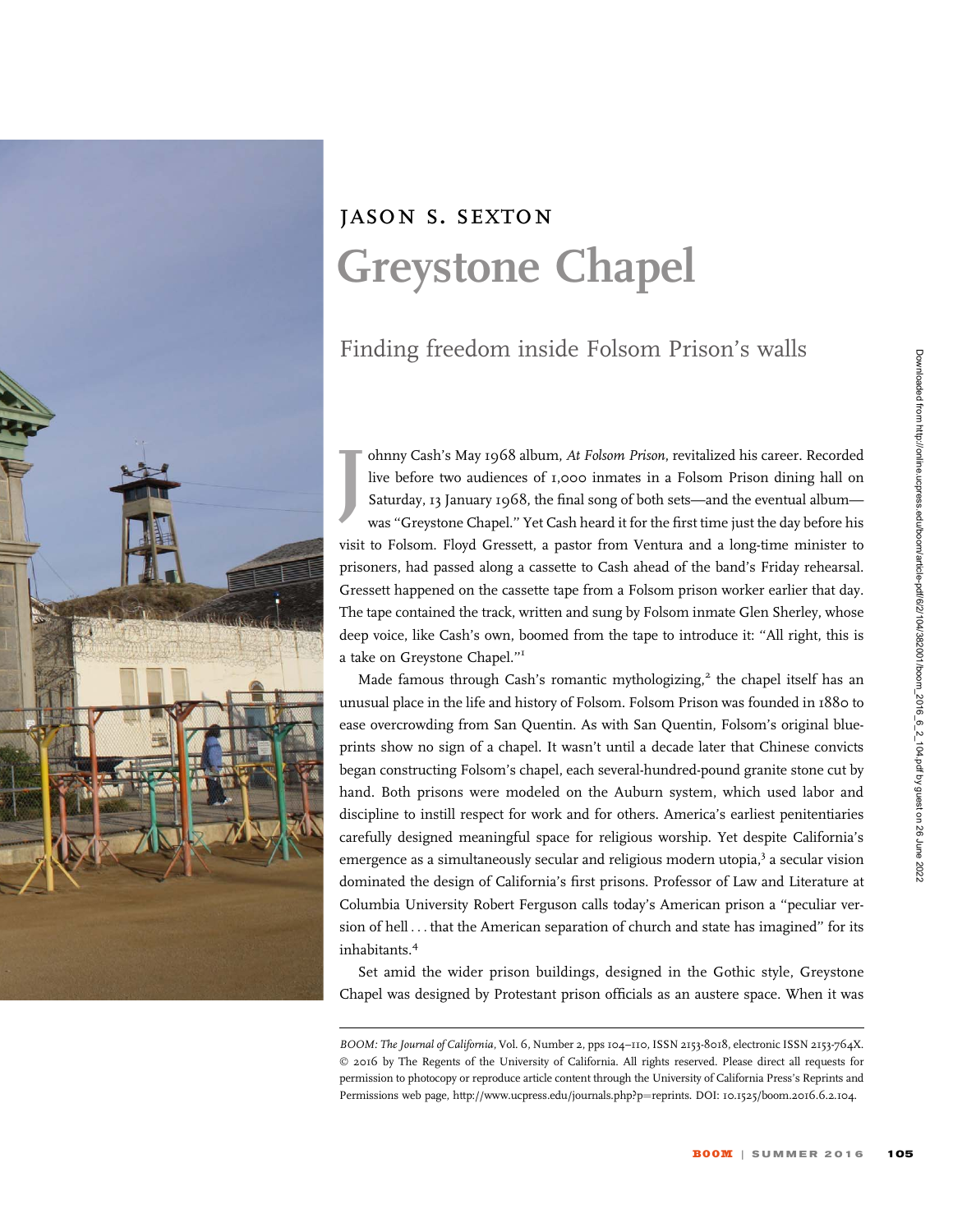

## jason s. sexton Greystone Chapel

## Finding freedom inside Folsom Prison's walls

J ohnny Cash's May 1968 album, At Folsom Prison, revitalized his career. Recorded live before two audiences of 1,000 inmates in a Folsom Prison dining hall on Saturday, 13 January 1968, the final song of both sets—and the eventual album was ''Greystone Chapel.'' Yet Cash heard it for the first time just the day before his visit to Folsom. Floyd Gressett, a pastor from Ventura and a long-time minister to prisoners, had passed along a cassette to Cash ahead of the band's Friday rehearsal. Gressett happened on the cassette tape from a Folsom prison worker earlier that day. The tape contained the track, written and sung by Folsom inmate Glen Sherley, whose deep voice, like Cash's own, boomed from the tape to introduce it: ''All right, this is a take on Greystone Chapel.''<sup>1</sup>

Made famous through Cash's romantic mythologizing, $2$  the chapel itself has an unusual place in the life and history of Folsom. Folsom Prison was founded in 1880 to ease overcrowding from San Quentin. As with San Quentin, Folsom's original blueprints show no sign of a chapel. It wasn't until a decade later that Chinese convicts began constructing Folsom's chapel, each several-hundred-pound granite stone cut by hand. Both prisons were modeled on the Auburn system, which used labor and discipline to instill respect for work and for others. America's earliest penitentiaries carefully designed meaningful space for religious worship. Yet despite California's emergence as a simultaneously secular and religious modern utopia,<sup>3</sup> a secular vision dominated the design of California's first prisons. Professor of Law and Literature at Columbia University Robert Ferguson calls today's American prison a ''peculiar version of hell ... that the American separation of church and state has imagined'' for its inhabitants.<sup>4</sup>

Set amid the wider prison buildings, designed in the Gothic style, Greystone Chapel was designed by Protestant prison officials as an austere space. When it was

BOOM: The Journal of California, Vol. 6, Number 2, pps 104–110, ISSN 2153-8018, electronic ISSN 2153-764X. © 2016 by The Regents of the University of California. All rights reserved. Please direct all requests for permission to photocopy or reproduce article content through the University of California Press's Reprints and Permissions web page, http://www.ucpress.edu/journals.php?p=reprints. DOI: 10.1525/boom.2016.6.2.104.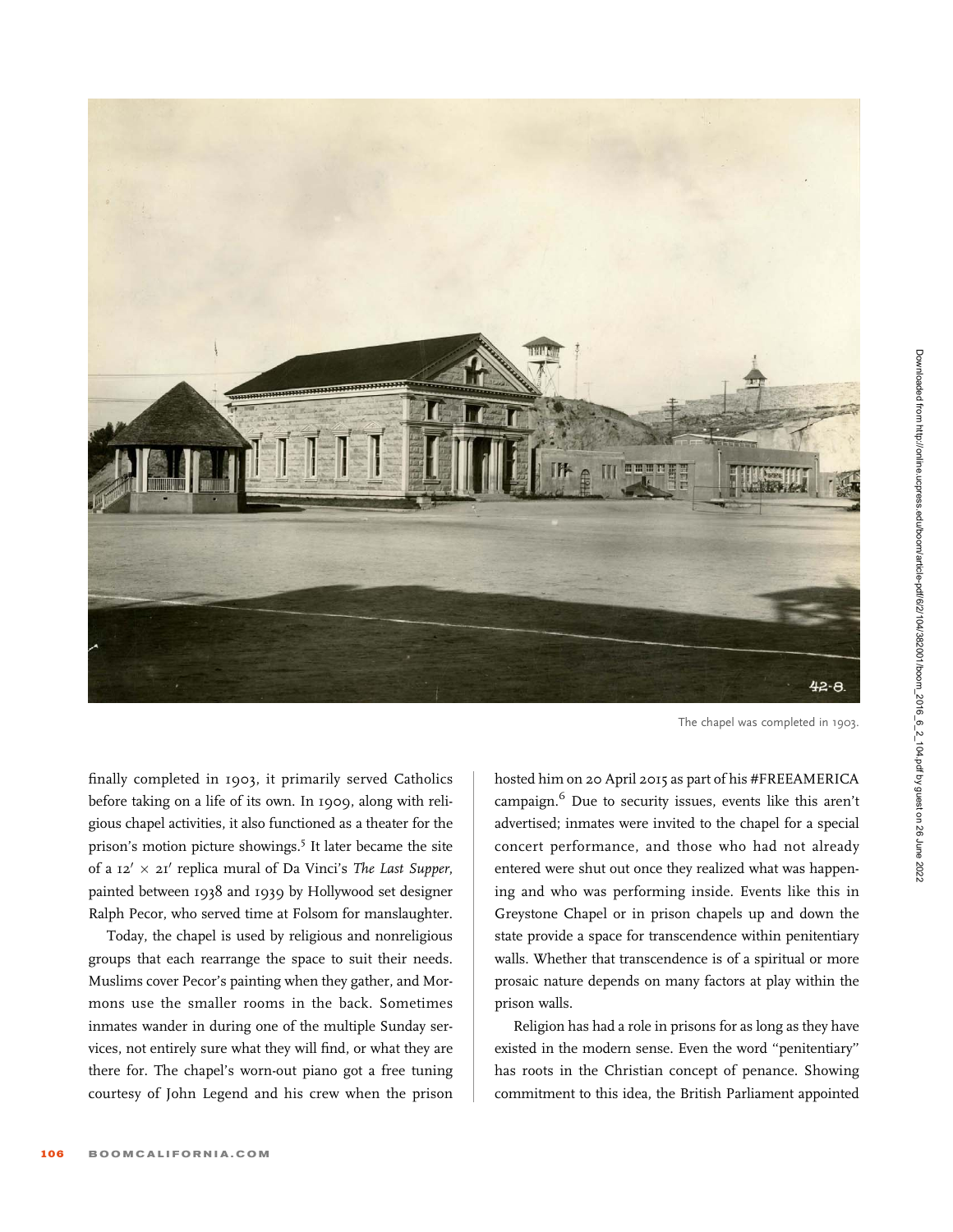

The chapel was completed in 1903.

finally completed in 1903, it primarily served Catholics before taking on a life of its own. In 1909, along with religious chapel activities, it also functioned as a theater for the prison's motion picture showings.<sup>5</sup> It later became the site of a  $12' \times 21'$  replica mural of Da Vinci's The Last Supper, painted between 1938 and 1939 by Hollywood set designer Ralph Pecor, who served time at Folsom for manslaughter.

Today, the chapel is used by religious and nonreligious groups that each rearrange the space to suit their needs. Muslims cover Pecor's painting when they gather, and Mormons use the smaller rooms in the back. Sometimes inmates wander in during one of the multiple Sunday services, not entirely sure what they will find, or what they are there for. The chapel's worn-out piano got a free tuning courtesy of John Legend and his crew when the prison hosted him on 20 April 2015 as part of his #FREEAMERICA campaign.<sup>6</sup> Due to security issues, events like this aren't advertised; inmates were invited to the chapel for a special concert performance, and those who had not already entered were shut out once they realized what was happening and who was performing inside. Events like this in Greystone Chapel or in prison chapels up and down the state provide a space for transcendence within penitentiary walls. Whether that transcendence is of a spiritual or more prosaic nature depends on many factors at play within the prison walls.

Religion has had a role in prisons for as long as they have existed in the modern sense. Even the word ''penitentiary'' has roots in the Christian concept of penance. Showing commitment to this idea, the British Parliament appointed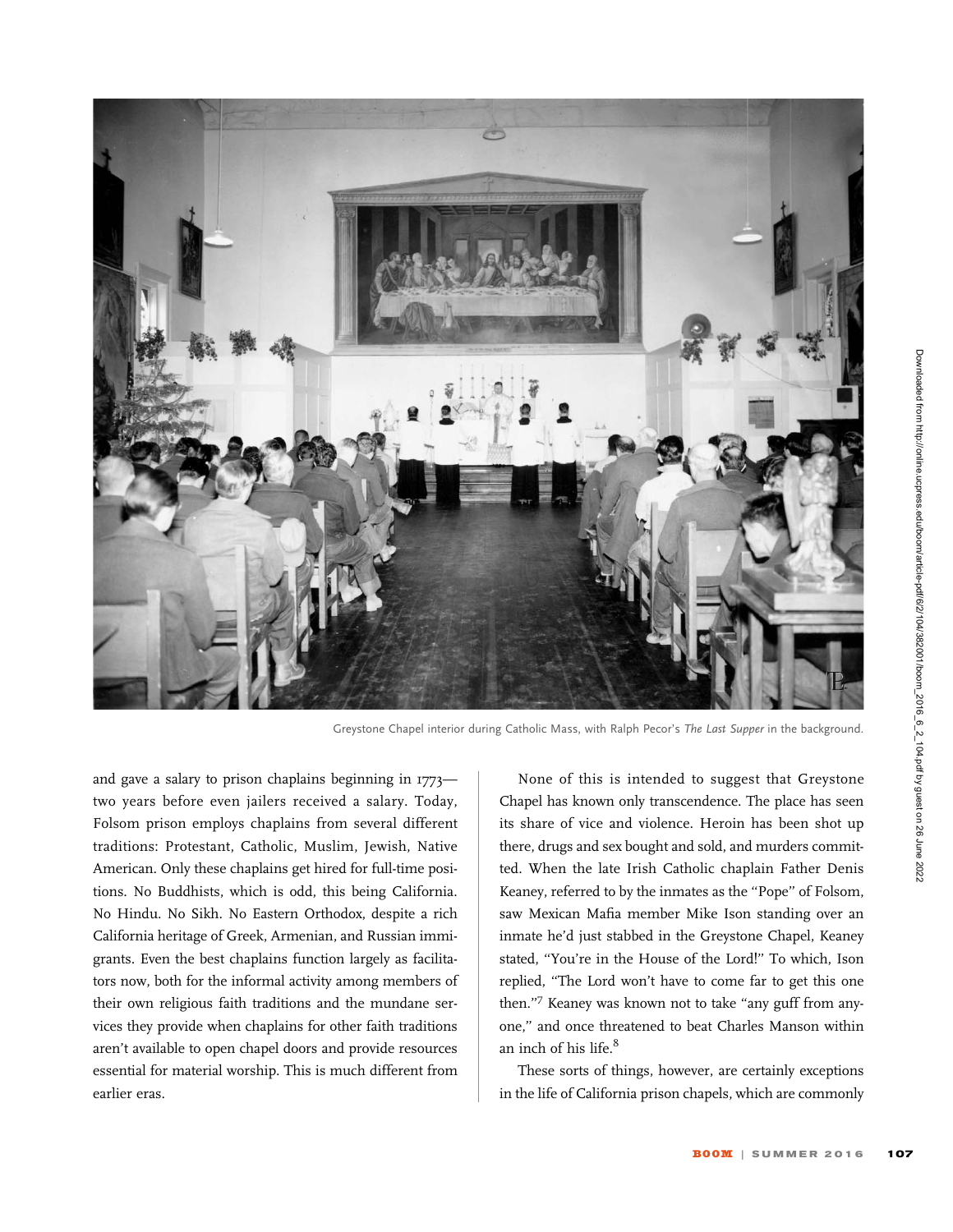

Greystone Chapel interior during Catholic Mass, with Ralph Pecor's The Last Supper in the background.

and gave a salary to prison chaplains beginning in 1773 two years before even jailers received a salary. Today, Folsom prison employs chaplains from several different traditions: Protestant, Catholic, Muslim, Jewish, Native American. Only these chaplains get hired for full-time positions. No Buddhists, which is odd, this being California. No Hindu. No Sikh. No Eastern Orthodox, despite a rich California heritage of Greek, Armenian, and Russian immigrants. Even the best chaplains function largely as facilitators now, both for the informal activity among members of their own religious faith traditions and the mundane services they provide when chaplains for other faith traditions aren't available to open chapel doors and provide resources essential for material worship. This is much different from earlier eras.

None of this is intended to suggest that Greystone Chapel has known only transcendence. The place has seen its share of vice and violence. Heroin has been shot up there, drugs and sex bought and sold, and murders committed. When the late Irish Catholic chaplain Father Denis Keaney, referred to by the inmates as the ''Pope'' of Folsom, saw Mexican Mafia member Mike Ison standing over an inmate he'd just stabbed in the Greystone Chapel, Keaney stated, ''You're in the House of the Lord!'' To which, Ison replied, ''The Lord won't have to come far to get this one then."7 Keaney was known not to take "any guff from anyone,'' and once threatened to beat Charles Manson within an inch of his life.<sup>8</sup>

These sorts of things, however, are certainly exceptions in the life of California prison chapels, which are commonly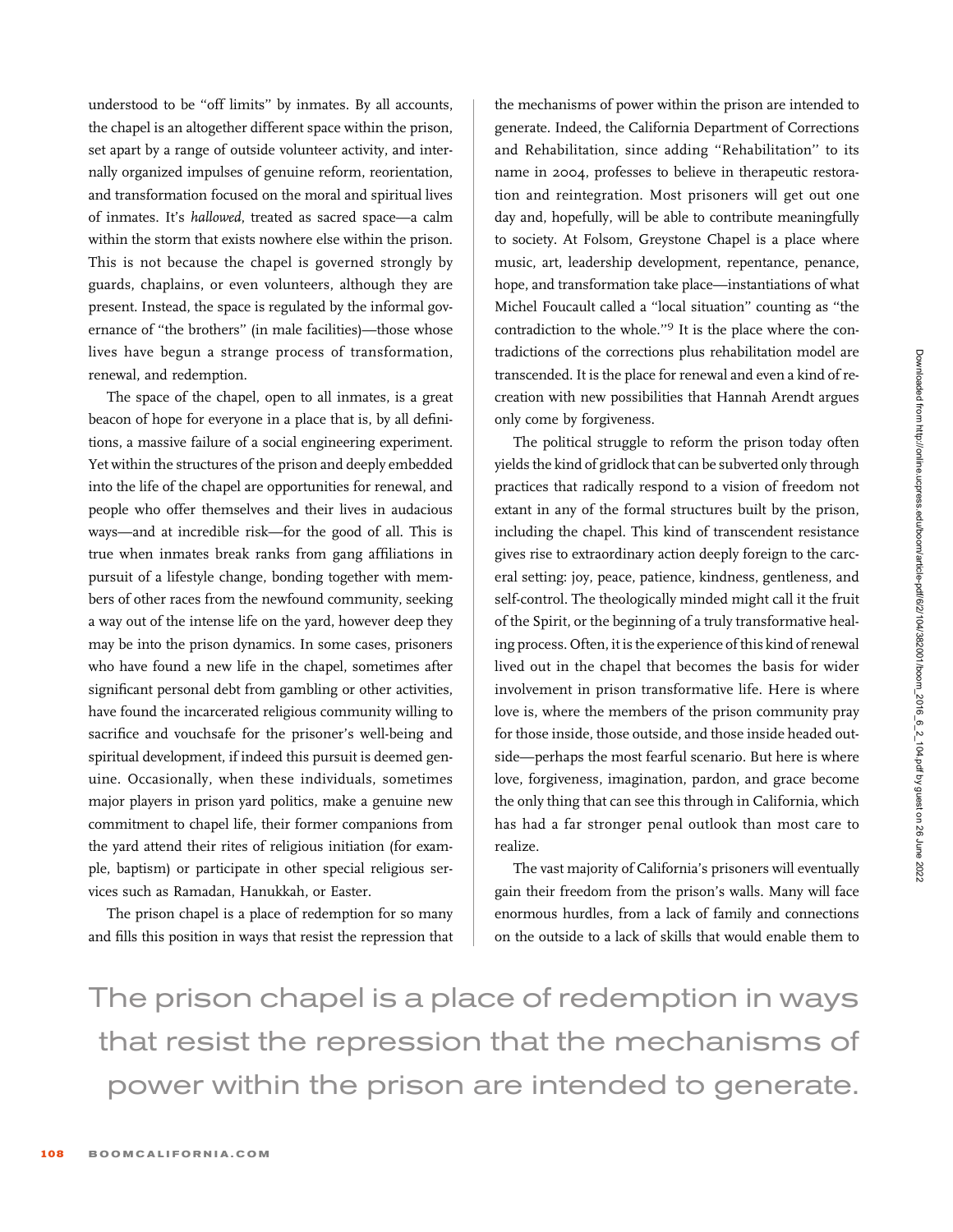understood to be ''off limits'' by inmates. By all accounts, the chapel is an altogether different space within the prison, set apart by a range of outside volunteer activity, and internally organized impulses of genuine reform, reorientation, and transformation focused on the moral and spiritual lives of inmates. It's hallowed, treated as sacred space—a calm within the storm that exists nowhere else within the prison. This is not because the chapel is governed strongly by guards, chaplains, or even volunteers, although they are present. Instead, the space is regulated by the informal governance of ''the brothers'' (in male facilities)—those whose lives have begun a strange process of transformation, renewal, and redemption.

The space of the chapel, open to all inmates, is a great beacon of hope for everyone in a place that is, by all definitions, a massive failure of a social engineering experiment. Yet within the structures of the prison and deeply embedded into the life of the chapel are opportunities for renewal, and people who offer themselves and their lives in audacious ways—and at incredible risk—for the good of all. This is true when inmates break ranks from gang affiliations in pursuit of a lifestyle change, bonding together with members of other races from the newfound community, seeking a way out of the intense life on the yard, however deep they may be into the prison dynamics. In some cases, prisoners who have found a new life in the chapel, sometimes after significant personal debt from gambling or other activities, have found the incarcerated religious community willing to sacrifice and vouchsafe for the prisoner's well-being and spiritual development, if indeed this pursuit is deemed genuine. Occasionally, when these individuals, sometimes major players in prison yard politics, make a genuine new commitment to chapel life, their former companions from the yard attend their rites of religious initiation (for example, baptism) or participate in other special religious services such as Ramadan, Hanukkah, or Easter.

The prison chapel is a place of redemption for so many and fills this position in ways that resist the repression that the mechanisms of power within the prison are intended to generate. Indeed, the California Department of Corrections and Rehabilitation, since adding ''Rehabilitation'' to its name in 2004, professes to believe in therapeutic restoration and reintegration. Most prisoners will get out one day and, hopefully, will be able to contribute meaningfully to society. At Folsom, Greystone Chapel is a place where music, art, leadership development, repentance, penance, hope, and transformation take place—instantiations of what Michel Foucault called a ''local situation'' counting as ''the contradiction to the whole.''9 It is the place where the contradictions of the corrections plus rehabilitation model are transcended. It is the place for renewal and even a kind of recreation with new possibilities that Hannah Arendt argues only come by forgiveness.

The political struggle to reform the prison today often yields the kind of gridlock that can be subverted only through practices that radically respond to a vision of freedom not extant in any of the formal structures built by the prison, including the chapel. This kind of transcendent resistance gives rise to extraordinary action deeply foreign to the carceral setting: joy, peace, patience, kindness, gentleness, and self-control. The theologically minded might call it the fruit of the Spirit, or the beginning of a truly transformative healing process. Often, it is the experience of this kind of renewal lived out in the chapel that becomes the basis for wider involvement in prison transformative life. Here is where love is, where the members of the prison community pray for those inside, those outside, and those inside headed outside—perhaps the most fearful scenario. But here is where love, forgiveness, imagination, pardon, and grace become the only thing that can see this through in California, which has had a far stronger penal outlook than most care to realize.

The vast majority of California's prisoners will eventually gain their freedom from the prison's walls. Many will face enormous hurdles, from a lack of family and connections on the outside to a lack of skills that would enable them to

The prison chapel is a place of redemption in ways that resist the repression that the mechanisms of power within the prison are intended to generate.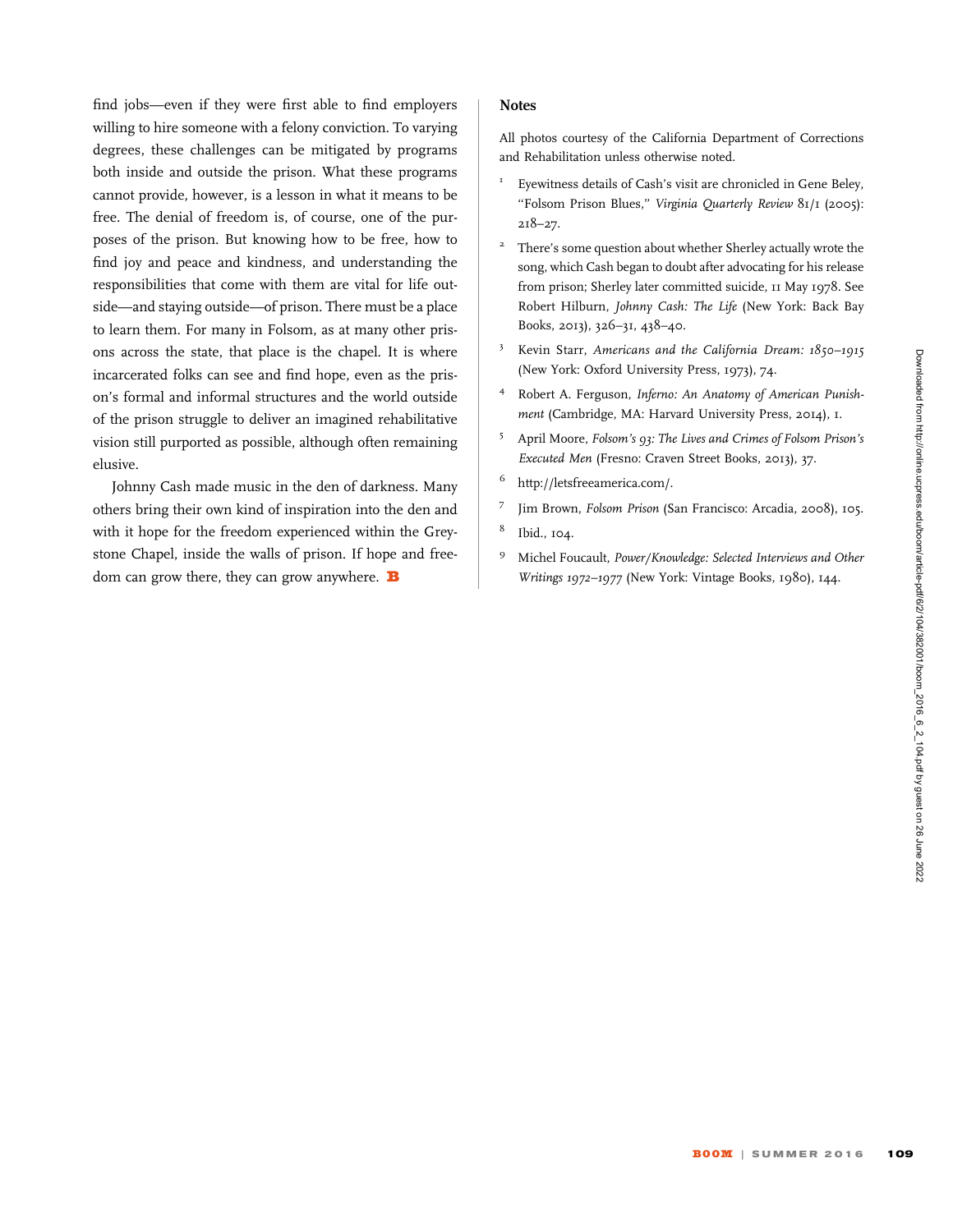find jobs—even if they were first able to find employers willing to hire someone with a felony conviction. To varying degrees, these challenges can be mitigated by programs both inside and outside the prison. What these programs cannot provide, however, is a lesson in what it means to be free. The denial of freedom is, of course, one of the purposes of the prison. But knowing how to be free, how to find joy and peace and kindness, and understanding the responsibilities that come with them are vital for life outside—and staying outside—of prison. There must be a place to learn them. For many in Folsom, as at many other prisons across the state, that place is the chapel. It is where incarcerated folks can see and find hope, even as the prison's formal and informal structures and the world outside of the prison struggle to deliver an imagined rehabilitative vision still purported as possible, although often remaining elusive.

Johnny Cash made music in the den of darkness. Many others bring their own kind of inspiration into the den and with it hope for the freedom experienced within the Greystone Chapel, inside the walls of prison. If hope and freedom can grow there, they can grow anywhere.  $\mathbf B$ 

## **Notes**

All photos courtesy of the California Department of Corrections and Rehabilitation unless otherwise noted.

- Eyewitness details of Cash's visit are chronicled in Gene Beley, ''Folsom Prison Blues,'' Virginia Quarterly Review 81/1 (2005): 218–27.
- <sup>2</sup> There's some question about whether Sherley actually wrote the song, which Cash began to doubt after advocating for his release from prison; Sherley later committed suicide, 11 May 1978. See Robert Hilburn, Johnny Cash: The Life (New York: Back Bay Books, 2013), 326–31, 438–40.
- <sup>3</sup> Kevin Starr, Americans and the California Dream: 1850–1915 (New York: Oxford University Press, 1973), 74.
- <sup>4</sup> Robert A. Ferguson, Inferno: An Anatomy of American Punishment (Cambridge, MA: Harvard University Press, 2014), 1.
- <sup>5</sup> April Moore, Folsom's 93: The Lives and Crimes of Folsom Prison's Executed Men (Fresno: Craven Street Books, 2013), 37.
- <sup>6</sup> [http://letsfreeamerica.com/.](http://letsfreeamerica.com/)
- <sup>7</sup> Jim Brown, Folsom Prison (San Francisco: Arcadia, 2008), 105.
- <sup>8</sup> Ibid., 104.
- <sup>9</sup> Michel Foucault, Power/Knowledge: Selected Interviews and Other Writings 1972–1977 (New York: Vintage Books, 1980), 144.